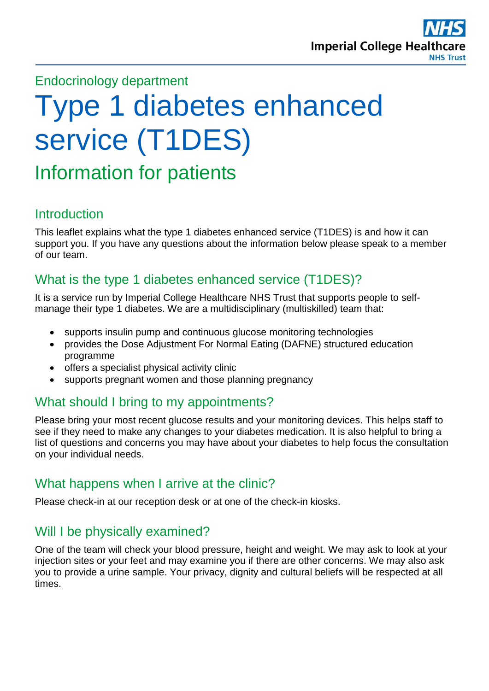

# Endocrinology department

# Type 1 diabetes enhanced service (T1DES)

# Information for patients

#### Introduction

This leaflet explains what the type 1 diabetes enhanced service (T1DES) is and how it can support you. If you have any questions about the information below please speak to a member of our team.

# What is the type 1 diabetes enhanced service (T1DES)?

It is a service run by Imperial College Healthcare NHS Trust that supports people to selfmanage their type 1 diabetes. We are a multidisciplinary (multiskilled) team that:

- supports insulin pump and continuous glucose monitoring technologies
- provides the Dose Adjustment For Normal Eating (DAFNE) structured education programme
- offers a specialist physical activity clinic
- supports pregnant women and those planning pregnancy

#### What should I bring to my appointments?

Please bring your most recent glucose results and your monitoring devices. This helps staff to see if they need to make any changes to your diabetes medication. It is also helpful to bring a list of questions and concerns you may have about your diabetes to help focus the consultation on your individual needs.

#### What happens when I arrive at the clinic?

Please check-in at our reception desk or at one of the check-in kiosks.

# Will I be physically examined?

One of the team will check your blood pressure, height and weight. We may ask to look at your injection sites or your feet and may examine you if there are other concerns. We may also ask you to provide a urine sample. Your privacy, dignity and cultural beliefs will be respected at all times.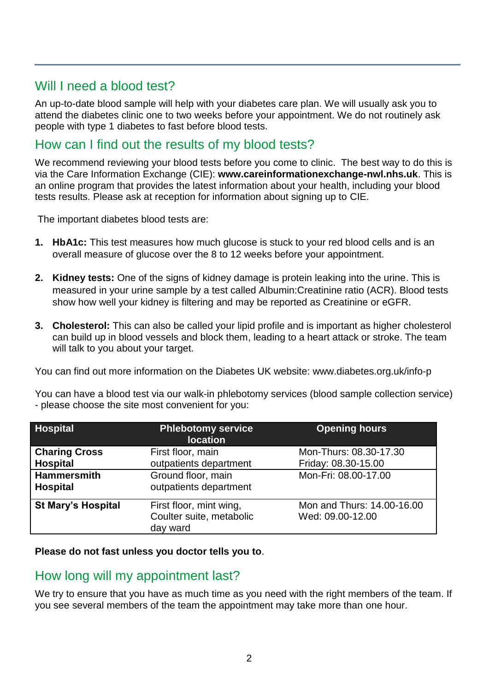# Will I need a blood test?

An up-to-date blood sample will help with your diabetes care plan. We will usually ask you to attend the diabetes clinic one to two weeks before your appointment. We do not routinely ask people with type 1 diabetes to fast before blood tests.

# How can I find out the results of my blood tests?

We recommend reviewing your blood tests before you come to clinic. The best way to do this is via the Care Information Exchange (CIE): **www.careinformationexchange-nwl.nhs.uk**. This is an online program that provides the latest information about your health, including your blood tests results. Please ask at reception for information about signing up to CIE.

The important diabetes blood tests are:

- **1. HbA1c:** This test measures how much glucose is stuck to your red blood cells and is an overall measure of glucose over the 8 to 12 weeks before your appointment.
- **2. Kidney tests:** One of the signs of kidney damage is protein leaking into the urine. This is measured in your urine sample by a test called Albumin:Creatinine ratio (ACR). Blood tests show how well your kidney is filtering and may be reported as Creatinine or eGFR.
- **3. Cholesterol:** This can also be called your lipid profile and is important as higher cholesterol can build up in blood vessels and block them, leading to a heart attack or stroke. The team will talk to you about your target.

You can find out more information on the Diabetes UK website: www.diabetes.org.uk/info-p

You can have a blood test via our walk-in phlebotomy services (blood sample collection service) - please choose the site most convenient for you:

| <b>Hospital</b>                         | <b>Phlebotomy service</b><br><b>location</b>                    | <b>Opening hours</b>                           |
|-----------------------------------------|-----------------------------------------------------------------|------------------------------------------------|
| <b>Charing Cross</b><br><b>Hospital</b> | First floor, main<br>outpatients department                     | Mon-Thurs: 08.30-17.30<br>Friday: 08.30-15.00  |
| <b>Hammersmith</b><br><b>Hospital</b>   | Ground floor, main<br>outpatients department                    | Mon-Fri: 08.00-17.00                           |
| <b>St Mary's Hospital</b>               | First floor, mint wing,<br>Coulter suite, metabolic<br>day ward | Mon and Thurs: 14.00-16.00<br>Wed: 09.00-12.00 |

#### **Please do not fast unless you doctor tells you to**.

#### How long will my appointment last?

We try to ensure that you have as much time as you need with the right members of the team. If you see several members of the team the appointment may take more than one hour.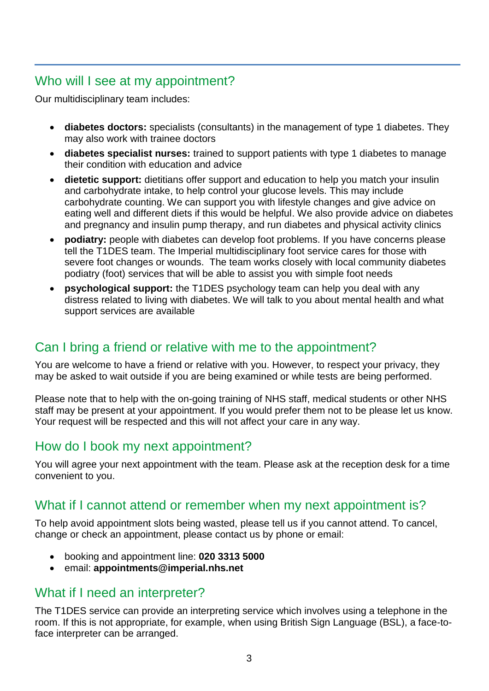# Who will I see at my appointment?

Our multidisciplinary team includes:

- **diabetes doctors:** specialists (consultants) in the management of type 1 diabetes. They may also work with trainee doctors
- **diabetes specialist nurses:** trained to support patients with type 1 diabetes to manage their condition with education and advice
- **dietetic support:** dietitians offer support and education to help you match your insulin and carbohydrate intake, to help control your glucose levels. This may include carbohydrate counting. We can support you with lifestyle changes and give advice on eating well and different diets if this would be helpful. We also provide advice on diabetes and pregnancy and insulin pump therapy, and run diabetes and physical activity clinics
- **podiatry:** people with diabetes can develop foot problems. If you have concerns please tell the T1DES team. The Imperial multidisciplinary foot service cares for those with severe foot changes or wounds. The team works closely with local community diabetes podiatry (foot) services that will be able to assist you with simple foot needs
- **psychological support:** the T1DES psychology team can help you deal with any distress related to living with diabetes. We will talk to you about mental health and what support services are available

# Can I bring a friend or relative with me to the appointment?

You are welcome to have a friend or relative with you. However, to respect your privacy, they may be asked to wait outside if you are being examined or while tests are being performed.

Please note that to help with the on-going training of NHS staff, medical students or other NHS staff may be present at your appointment. If you would prefer them not to be please let us know. Your request will be respected and this will not affect your care in any way.

# How do I book my next appointment?

You will agree your next appointment with the team. Please ask at the reception desk for a time convenient to you.

# What if I cannot attend or remember when my next appointment is?

To help avoid appointment slots being wasted, please tell us if you cannot attend. To cancel, change or check an appointment, please contact us by phone or email:

- booking and appointment line: **020 3313 5000**
- email: **appointments@imperial.nhs.net**

# What if I need an interpreter?

The T1DES service can provide an interpreting service which involves using a telephone in the room. If this is not appropriate, for example, when using British Sign Language (BSL), a face-toface interpreter can be arranged.